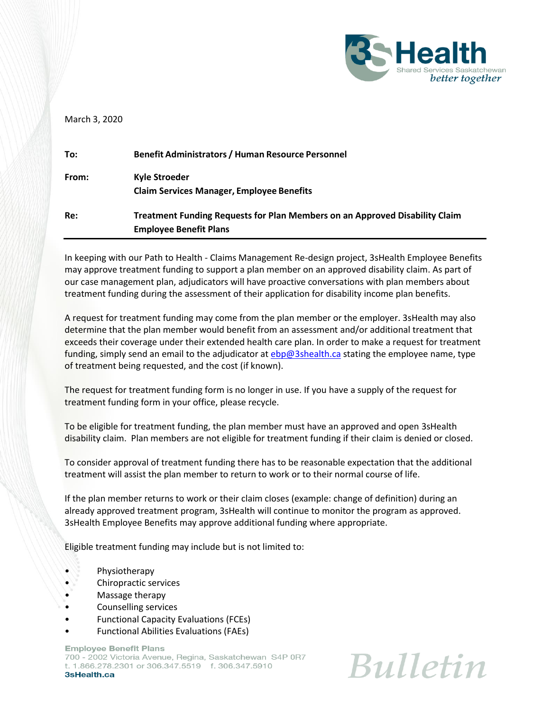

## March 3, 2020

| To:   | <b>Benefit Administrators / Human Resource Personnel</b>                           |
|-------|------------------------------------------------------------------------------------|
| From: | Kyle Stroeder                                                                      |
|       | <b>Claim Services Manager, Employee Benefits</b>                                   |
| Re:   | <b>Treatment Funding Requests for Plan Members on an Approved Disability Claim</b> |
|       | <b>Employee Benefit Plans</b>                                                      |

In keeping with our Path to Health - Claims Management Re-design project, 3sHealth Employee Benefits may approve treatment funding to support a plan member on an approved disability claim. As part of our case management plan, adjudicators will have proactive conversations with plan members about treatment funding during the assessment of their application for disability income plan benefits.

A request for treatment funding may come from the plan member or the employer. 3sHealth may also determine that the plan member would benefit from an assessment and/or additional treatment that exceeds their coverage under their extended health care plan. In order to make a request for treatment funding, simply send an email to the adjudicator a[t ebp@3shealth.ca](mailto:ebp@3shealth.ca) stating the employee name, type of treatment being requested, and the cost (if known).

The request for treatment funding form is no longer in use. If you have a supply of the request for treatment funding form in your office, please recycle.

To be eligible for treatment funding, the plan member must have an approved and open 3sHealth disability claim. Plan members are not eligible for treatment funding if their claim is denied or closed.

To consider approval of treatment funding there has to be reasonable expectation that the additional treatment will assist the plan member to return to work or to their normal course of life.

If the plan member returns to work or their claim closes (example: change of definition) during an already approved treatment program, 3sHealth will continue to monitor the program as approved. 3sHealth Employee Benefits may approve additional funding where appropriate.

Eligible treatment funding may include but is not limited to:

- Physiotherapy
- Chiropractic services
- Massage therapy
- Counselling services
- Functional Capacity Evaluations (FCEs)
- Functional Abilities Evaluations (FAEs)